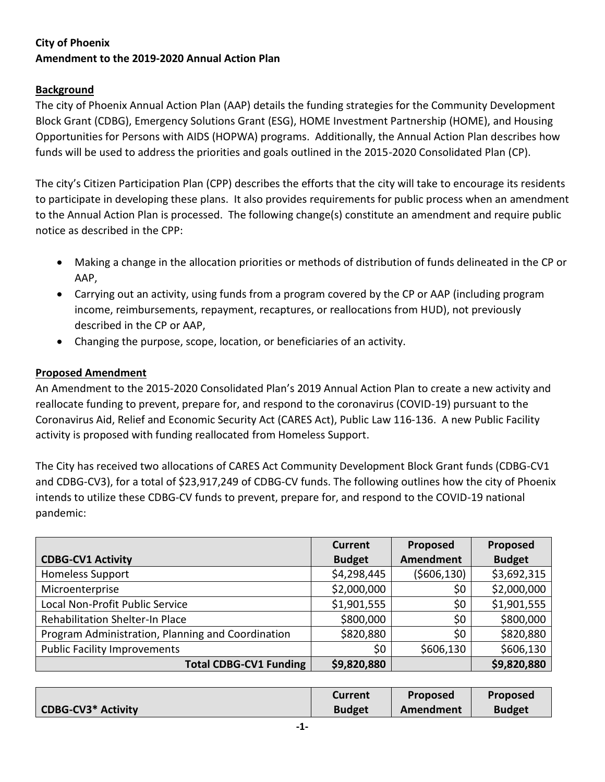# **City of Phoenix Amendment to the 2019-2020 Annual Action Plan**

## **Background**

The city of Phoenix Annual Action Plan (AAP) details the funding strategies for the Community Development Block Grant (CDBG), Emergency Solutions Grant (ESG), HOME Investment Partnership (HOME), and Housing Opportunities for Persons with AIDS (HOPWA) programs. Additionally, the Annual Action Plan describes how funds will be used to address the priorities and goals outlined in the 2015-2020 Consolidated Plan (CP).

The city's Citizen Participation Plan (CPP) describes the efforts that the city will take to encourage its residents to participate in developing these plans. It also provides requirements for public process when an amendment to the Annual Action Plan is processed. The following change(s) constitute an amendment and require public notice as described in the CPP:

- Making a change in the allocation priorities or methods of distribution of funds delineated in the CP or AAP,
- Carrying out an activity, using funds from a program covered by the CP or AAP (including program income, reimbursements, repayment, recaptures, or reallocations from HUD), not previously described in the CP or AAP,
- Changing the purpose, scope, location, or beneficiaries of an activity.

### **Proposed Amendment**

An Amendment to the 2015-2020 Consolidated Plan's 2019 Annual Action Plan to create a new activity and reallocate funding to prevent, prepare for, and respond to the coronavirus (COVID-19) pursuant to the Coronavirus Aid, Relief and Economic Security Act (CARES Act), Public Law 116-136. A new Public Facility activity is proposed with funding reallocated from Homeless Support.

The City has received two allocations of CARES Act Community Development Block Grant funds (CDBG-CV1 and CDBG-CV3), for a total of \$23,917,249 of CDBG-CV funds. The following outlines how the city of Phoenix intends to utilize these CDBG-CV funds to prevent, prepare for, and respond to the COVID-19 national pandemic:

|                                                   | <b>Current</b> | Proposed    | Proposed      |
|---------------------------------------------------|----------------|-------------|---------------|
| <b>CDBG-CV1 Activity</b>                          | <b>Budget</b>  | Amendment   | <b>Budget</b> |
| <b>Homeless Support</b>                           | \$4,298,445    | (5606, 130) | \$3,692,315   |
| Microenterprise                                   | \$2,000,000    | \$0         | \$2,000,000   |
| Local Non-Profit Public Service                   | \$1,901,555    | \$0         | \$1,901,555   |
| Rehabilitation Shelter-In Place                   | \$800,000      | \$0         | \$800,000     |
| Program Administration, Planning and Coordination | \$820,880      | \$0         | \$820,880     |
| <b>Public Facility Improvements</b>               | \$0            | \$606,130   | \$606,130     |
| <b>Total CDBG-CV1 Funding</b>                     | \$9,820,880    |             | \$9,820,880   |

|                           | Current       | <b>Proposed</b> | <b>Proposed</b> |
|---------------------------|---------------|-----------------|-----------------|
| <b>CDBG-CV3* Activity</b> | <b>Budget</b> | Amendment       | <b>Budget</b>   |